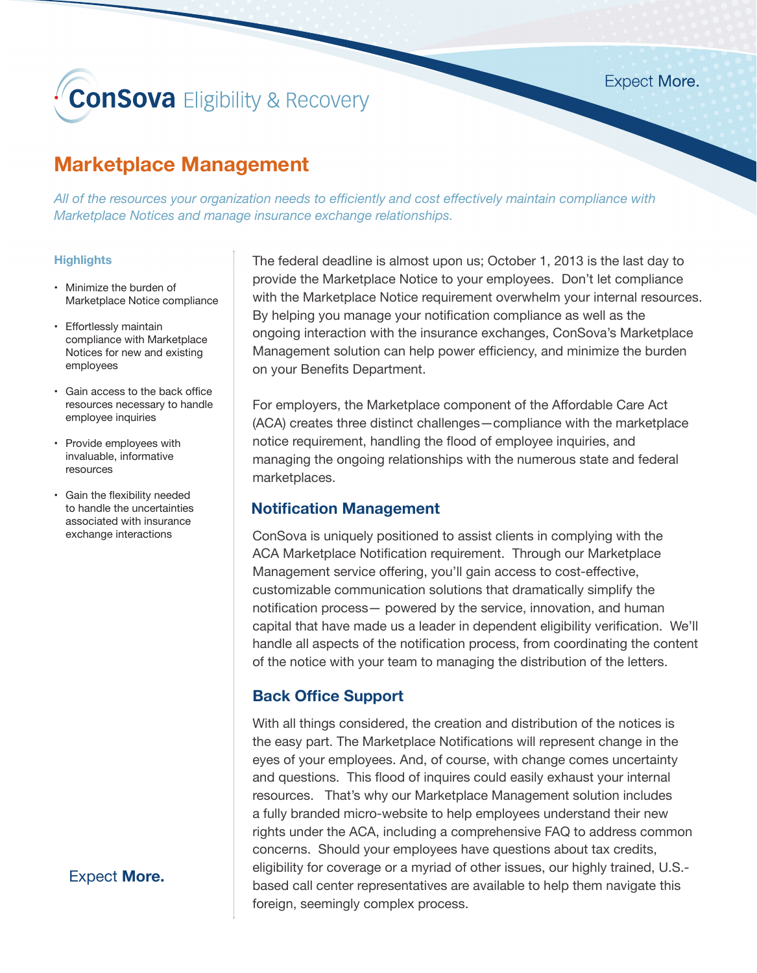# **ConSova** Eligibility & Recovery

**Expect More.** 

## **Marketplace Management**

*All of the resources your organization needs to efficiently and cost effectively maintain compliance with Marketplace Notices and manage insurance exchange relationships.* 

#### **Highlights**

- Minimize the burden of Marketplace Notice compliance
- Effortlessly maintain compliance with Marketplace Notices for new and existing employees
- Gain access to the back office resources necessary to handle employee inquiries
- Provide employees with invaluable, informative resources
- Gain the flexibility needed to handle the uncertainties associated with insurance exchange interactions

Expect **More.**

The federal deadline is almost upon us; October 1, 2013 is the last day to provide the Marketplace Notice to your employees. Don't let compliance with the Marketplace Notice requirement overwhelm your internal resources. By helping you manage your notification compliance as well as the ongoing interaction with the insurance exchanges, ConSova's Marketplace Management solution can help power efficiency, and minimize the burden on your Benefits Department.

For employers, the Marketplace component of the Affordable Care Act (ACA) creates three distinct challenges—compliance with the marketplace notice requirement, handling the flood of employee inquiries, and managing the ongoing relationships with the numerous state and federal marketplaces.

### **Notification Management**

ConSova is uniquely positioned to assist clients in complying with the ACA Marketplace Notification requirement. Through our Marketplace Management service offering, you'll gain access to cost-effective, customizable communication solutions that dramatically simplify the notification process— powered by the service, innovation, and human capital that have made us a leader in dependent eligibility verification. We'll handle all aspects of the notification process, from coordinating the content of the notice with your team to managing the distribution of the letters.

## **Back Office Support**

With all things considered, the creation and distribution of the notices is the easy part. The Marketplace Notifications will represent change in the eyes of your employees. And, of course, with change comes uncertainty and questions. This flood of inquires could easily exhaust your internal resources. That's why our Marketplace Management solution includes a fully branded micro-website to help employees understand their new rights under the ACA, including a comprehensive FAQ to address common concerns. Should your employees have questions about tax credits, eligibility for coverage or a myriad of other issues, our highly trained, U.S. based call center representatives are available to help them navigate this foreign, seemingly complex process.